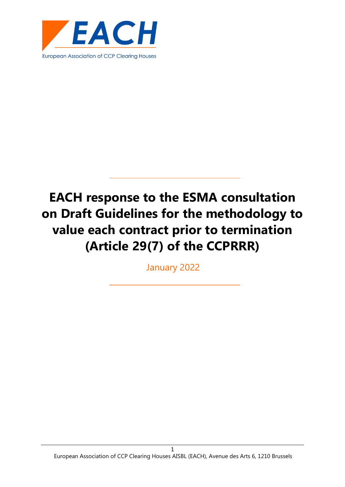

# **EACH response to the ESMA consultation on Draft Guidelines for the methodology to value each contract prior to termination (Article 29(7) of the CCPRRR)**

January 2022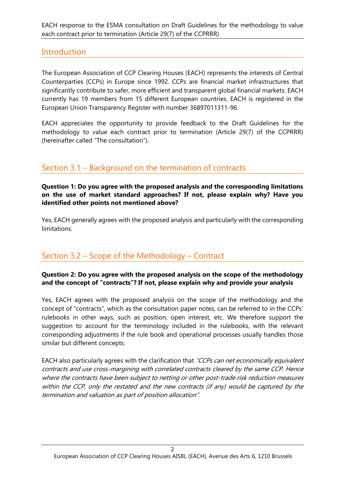EACH response to the ESMA consultation on Draft Guidelines for the methodology to value each contract prior to termination (Article 29(7) of the CCPRRR)

## **Introduction**

The European Association of CCP Clearing Houses (EACH) represents the interests of Central Counterparties (CCPs) in Europe since 1992. CCPs are financial market infrastructures that significantly contribute to safer, more efficient and transparent global financial markets. EACH currently has 19 members from 15 different European countries. EACH is registered in the European Union Transparency Register with number 36897011311-96.

EACH appreciates the opportunity to provide feedback to the Draft Guidelines for the methodology to value each contract prior to termination (Article 29(7) of the CCPRRR) (hereinafter called "The consultation").

# Section 3.1 – Background on the termination of contracts

**Question 1: Do you agree with the proposed analysis and the corresponding limitations on the use of market standard approaches? If not, please explain why? Have you identified other points not mentioned above?**

Yes, EACH generally agrees with the proposed analysis and particularly with the corresponding limitations.

# Section 3.2 – Scope of the Methodology – Contract

#### **Question 2: Do you agree with the proposed analysis on the scope of the methodology and the concept of "contracts"? If not, please explain why and provide your analysis**

Yes, EACH agrees with the proposed analysis on the scope of the methodology and the concept of "contracts", which as the consultation paper notes, can be referred to in the CCPs' rulebooks in other ways, such as position, open interest, etc. We therefore support the suggestion to account for the terminology included in the rulebooks, with the relevant corresponding adjustments if the rule book and operational processes usually handles those similar but different concepts.

EACH also particularly agrees with the clarification that "CCPs can net economically equivalent contracts and use cross-margining with correlated contracts cleared by the same CCP. Hence where the contracts have been subject to netting or other post-trade risk reduction measures within the CCP, only the restated and the new contracts (if any) would be captured by the termination and valuation as part of position allocation".